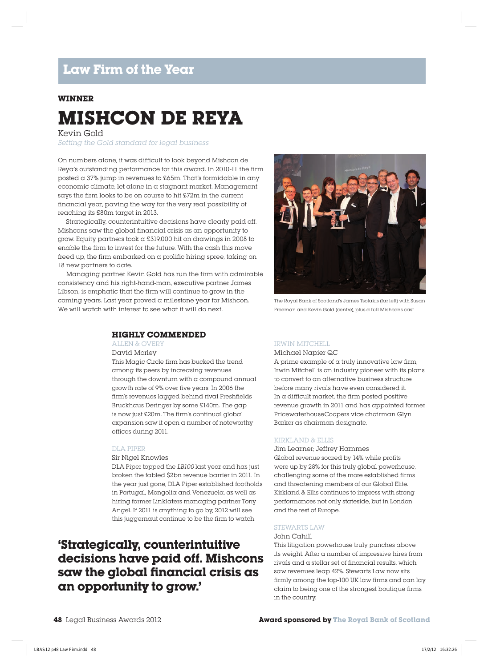#### **WINNER**

# **MISHCON DE REYA**

Kevin Gold

Setting the Gold standard for legal business

On numbers alone, it was difficult to look beyond Mishcon de Reya's outstanding performance for this award. In 2010-11 the firm posted a 37% jump in revenues to £65m. That's formidable in any economic climate, let alone in a stagnant market. Management says the firm looks to be on course to hit £72m in the current financial year, paving the way for the very real possibility of reaching its £80m target in 2013.

Strategically, counterintuitive decisions have clearly paid off. Mishcons saw the global financial crisis as an opportunity to grow. Equity partners took a £319,000 hit on drawings in 2008 to enable the firm to invest for the future. With the cash this move freed up, the firm embarked on a prolific hiring spree, taking on 18 new partners to date.

Managing partner Kevin Gold has run the firm with admirable consistency and his right-hand-man, executive partner James Libson, is emphatic that the firm will continue to grow in the coming years. Last year proved a milestone year for Mishcon. We will watch with interest to see what it will do next.



ALLEN & OVERY

David Morley

This Magic Circle firm has bucked the trend among its peers by increasing revenues through the downturn with a compound annual growth rate of 9% over five years. In 2006 the firm's revenues lagged behind rival Freshfields Bruckhaus Deringer by some £140m. The gap is now just £20m. The firm's continual global expansion saw it open a number of noteworthy offices during 2011.

#### DLA PIPER

Sir Nigel Knowles

DLA Piper topped the LB100 last year and has just broken the fabled \$2bn revenue barrier in 2011. In the year just gone, DLA Piper established footholds in Portugal, Mongolia and Venezuela, as well as hiring former Linklaters managing partner Tony Angel. If 2011 is anything to go by, 2012 will see this juggernaut continue to be the firm to watch.

### **'Strategically, counterintuitive decisions have paid off. Mishcons**  saw the global financial crisis as **an opportunity to grow.'**



The Royal Bank of Scotland's James Tsolakis (far left) with Susan Freeman and Kevin Gold (centre), plus a full Mishcons cast

#### IRWIN MITCHELL

Michael Napier QC

A prime example of  $\alpha$  truly innovative law firm, Irwin Mitchell is an industry pioneer with its plans to convert to an alternative business structure before many rivals have even considered it. In  $\alpha$  difficult market, the firm posted positive revenue growth in 2011 and has appointed former PricewaterhouseCoopers vice chairman Glyn Barker as chairman designate.

#### KIRKLAND & ELLIS

Jim Learner; Jeffrey Hammes Global revenue soared by 14% while profits were up by 28% for this truly global powerhouse, challenging some of the more established firms and threatening members of our Global Elite. Kirkland & Ellis continues to impress with strong performances not only stateside, but in London and the rest of Europe.

#### STEWARTS LAW

#### John Cahill

This litigation powerhouse truly punches above its weight. After a number of impressive hires from rivals and a stellar set of financial results, which saw revenues leap 42%. Stewarts Law now sits firmly among the top-100 UK law firms and can lay claim to being one of the strongest boutique firms in the country.